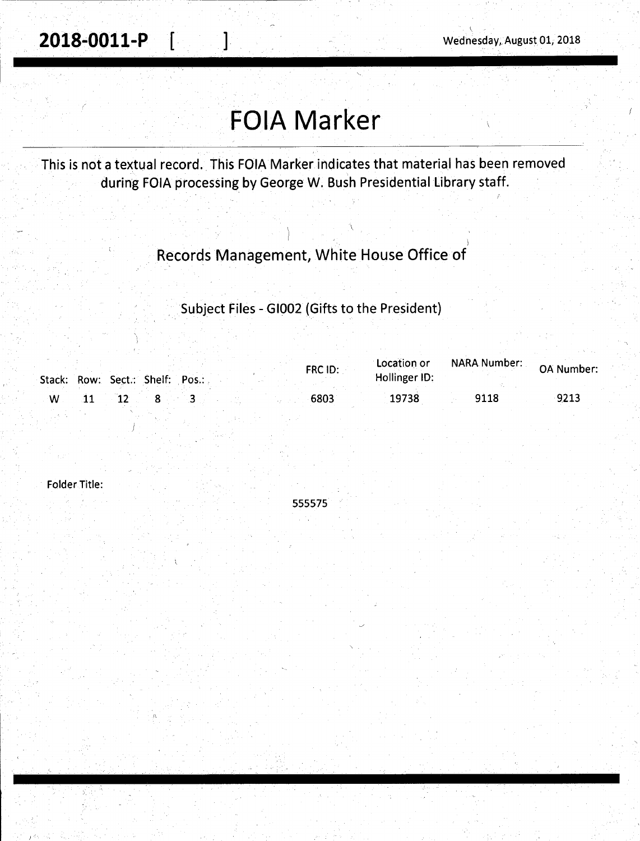**2018-0011-P** [ ] Wednesday, August 01, 2018

 $\overline{\phantom{0}}$ 

## **FOIA Marker**

This is not a textual record. This FOIA Marker indicates that material has been removed during FOIA processing by George W. Bush Presidential Library staff.

## Records Management, White House Office of

Subject Files - GI002 (Gifts to the President)

|    |            | Stack: Row: Sect.: Shelf: Pos.: | FRC ID: | Location or<br>Hollinger ID: | NARA Number: | OA Number: |
|----|------------|---------------------------------|---------|------------------------------|--------------|------------|
| ∴W | $\vert$ 11 | $12 \t 8$                       | 6803    | 19738                        | 9118         | 9213       |

Folder Title:

\ I

555575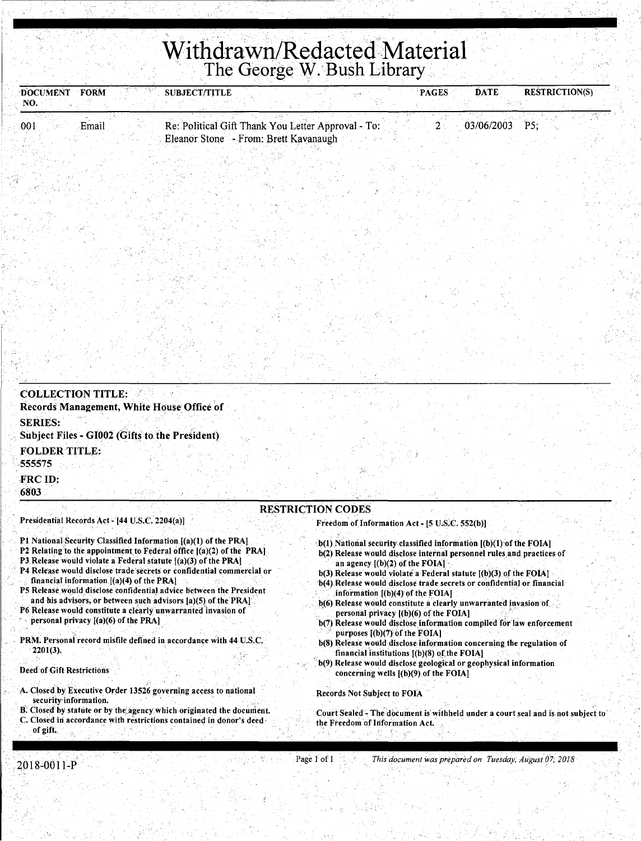# Withdrawn/Redacted Material

| DOCUMENT FORM<br>NO.           |                                        | <b>SUBJECT/TITLE</b>                                                                                                                        |                                                                                                                                                | <b>PAGES</b> | <b>DATE</b> | <b>RESTRICTION(S)</b> |
|--------------------------------|----------------------------------------|---------------------------------------------------------------------------------------------------------------------------------------------|------------------------------------------------------------------------------------------------------------------------------------------------|--------------|-------------|-----------------------|
| :001                           | Email                                  | Re: Political Gift Thank You Letter Approval - To:<br>Eleanor Stone - From: Brett Kavanaugh                                                 |                                                                                                                                                | 2            | 03/06/2003  | P5                    |
|                                |                                        |                                                                                                                                             |                                                                                                                                                |              |             |                       |
|                                |                                        |                                                                                                                                             |                                                                                                                                                |              |             |                       |
|                                |                                        |                                                                                                                                             |                                                                                                                                                |              |             |                       |
|                                |                                        |                                                                                                                                             |                                                                                                                                                |              |             |                       |
|                                |                                        |                                                                                                                                             |                                                                                                                                                |              |             |                       |
|                                |                                        |                                                                                                                                             |                                                                                                                                                |              |             |                       |
|                                |                                        |                                                                                                                                             |                                                                                                                                                |              |             |                       |
|                                |                                        |                                                                                                                                             |                                                                                                                                                |              |             |                       |
|                                |                                        |                                                                                                                                             |                                                                                                                                                |              |             |                       |
|                                |                                        |                                                                                                                                             |                                                                                                                                                |              |             |                       |
| <b>COLLECTION TITLE:</b>       |                                        | Records Management, White House Office of                                                                                                   |                                                                                                                                                |              |             |                       |
| <b>SERIES:</b>                 |                                        |                                                                                                                                             |                                                                                                                                                |              |             |                       |
|                                |                                        | Subject Files - GI002 (Gifts to the President)                                                                                              |                                                                                                                                                |              |             |                       |
| <b>FOLDER TITLE:</b><br>555575 |                                        |                                                                                                                                             |                                                                                                                                                |              |             |                       |
| FRC ID:                        |                                        |                                                                                                                                             |                                                                                                                                                |              |             |                       |
| 6803                           |                                        |                                                                                                                                             |                                                                                                                                                |              |             |                       |
|                                |                                        | Presidential Records Act - [44 U.S.C. 2204(a)]                                                                                              | <b>RESTRICTION CODES</b><br>Freedom of Information Act - [5 U.S.C. 552(b)]                                                                     |              |             |                       |
|                                |                                        | P1 National Security Classified Information [(a)(1) of the PRA]                                                                             | b(1) National security classified information [(b)(1) of the FOIA]                                                                             |              |             |                       |
|                                |                                        | P2 Relating to the appointment to Federal office $[(a)(2)$ of the PRA.<br>P3 Release would violate a Federal statute [(a)(3) of the PRA]    | b(2) Release would disclose internal personnel rules and practices of<br>an agency $[(b)(2)$ of the FOIA]                                      |              |             |                       |
|                                |                                        | P4 Release would disclose trade secrets or confidential commercial or<br>financial information $[(a)(4)$ of the PRA                         | $b(3)$ Release would violate a Federal statute $(b)(3)$ of the FOIA]<br>b(4) Release would disclose trade secrets or confidential or financial |              |             |                       |
|                                |                                        | P5 Release would disclose confidential advice between the President<br>and his advisors, or between such advisors [a](5) of the PRA]        | information $[(b)(4)$ of the FOIA]<br>b(6) Release would constitute a clearly unwarranted invasion of                                          |              |             |                       |
|                                | personal privacy $[(a)(6)$ of the PRA] | P6 Release would constitute a clearly unwarranted invasion of                                                                               | personal privacy $[(b)(6)$ of the FOIA]<br>b(7) Release would disclose information compiled for law enforcement                                |              |             |                       |
|                                |                                        | PRM. Personal record misfile defined in accordance with 44 U.S.C.                                                                           | purposes $[(b)(7)$ of the FOIA]                                                                                                                |              |             |                       |
| 2201(3).                       |                                        |                                                                                                                                             | b(8) Release would disclose information concerning the regulation of<br>financial institutions $[(b)(8)$ of the FOIA]                          |              |             |                       |
| Deed of Gift Restrictions      |                                        |                                                                                                                                             | b(9) Release would disclose geological or geophysical information<br>concerning wells $(1)(9)$ of the FOIA]                                    |              |             |                       |
| security information.          |                                        | A. Closed by Executive Order 13526 governing access to national                                                                             | <b>Records Not Subject to FOIA</b>                                                                                                             |              |             |                       |
| of gift.                       |                                        | B. Closed by statute or by the agency which originated the document.<br>C. Closed in accordance with restrictions contained in donor's deed | Court Sealed - The document is withheld under a court seal and is not subject to<br>the Freedom of Information Act.                            |              |             |                       |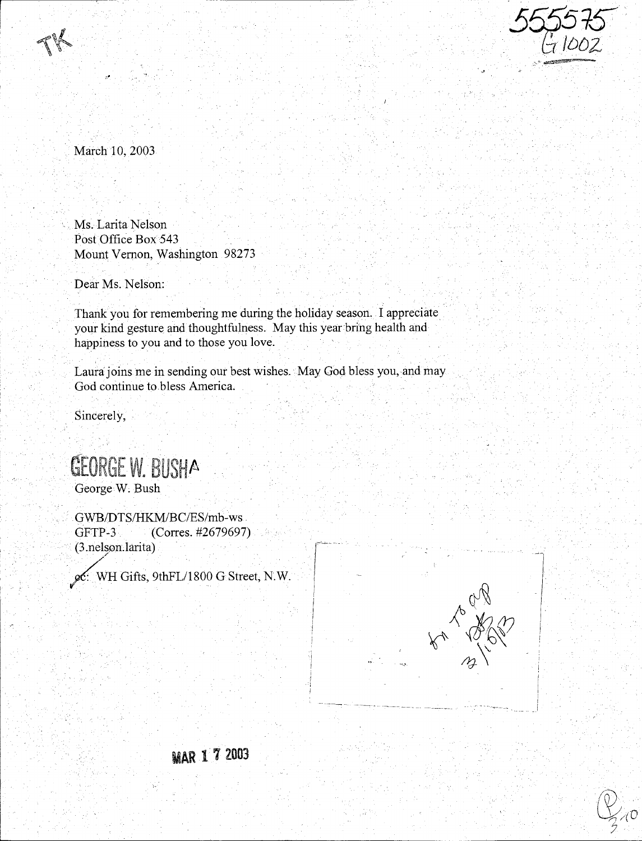

March 10, 2003

Ms.Larita Nelson Post Office Box 543 Mount Vernon, Washington 98273

Dear Ms. Nelson:

Thank you for remembering me during the holiday season. I appreciate. your kind gesture and thoughtfulness. May this year bring health and happiness to you and to those you love.

Laura joins me in sending our best wishes. May God bless you, and may God continue to bless America.

Sincerely,

GEORGE W. BUSHA George W; Bush

GWB/DTS/HKM/BC/ES/mb-ws . GFTP-3 (Corres. #2679697) (3 .nels.on. larita) */* 

 $\chi$ C: WH Gifts, 9thFL/1800 G Street, N.W.





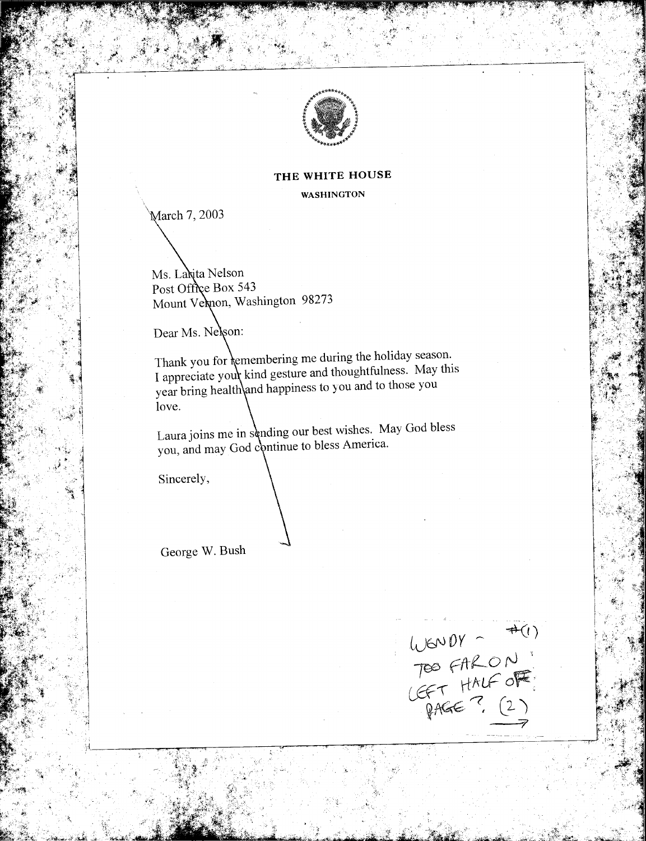

#### THE WHITE HOUSE

**WASHINGTON** 

March 7, 2003

Ms. Lanita Nelson Post Office Box 543 Mount Vernon, Washington 98273

Dear Ms. Nelson:

Thank you for *kemembering* me during the holiday season. I appreciate your kind gesture and thoughtfulness. May this year bring health\and happiness to you and to those you love.

Laura joins me in sending our best wishes. May God bless you, and may God continue to bless America.

Sincerely,

George W. Bush

 $\begin{array}{c}\n\text{LJGNDY} - \#(1) \\
\text{TEO FALON} \\
\text{CFT HMLFOF} \\
\text{PAGE 7, (2)}\n\end{array}$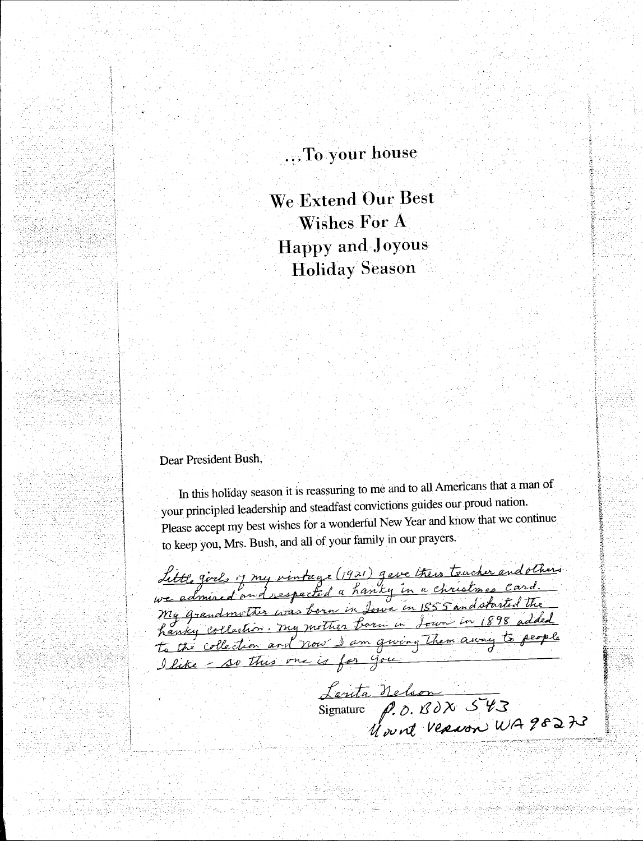## ...To your house

We Extend Our Best **Wishes For A Happy and Joyous Holiday Season** 

#### Dear President Bush,

<u> 회사 중심 사회 대학회의 대표</u>

In this holiday season it is reassuring to me and to all Americans that a man of your principled leadership and steadfast convictions guides our proud nation. Please accept my best wishes for a wonderful New Year and know that we continue to keep you, Mrs. Bush, and all of your family in our prayers.

Little girls of my vintage (1921) gave their teacher and others<br>we admired and respected a hanky in a christmes card.<br>My grandmother was been in Jour in 1555 and started the<br>hanky collection and now I am giving them away t

Lanta Nelson<br>Signature P.O. BOX 543<br>Wount Verwon WA98273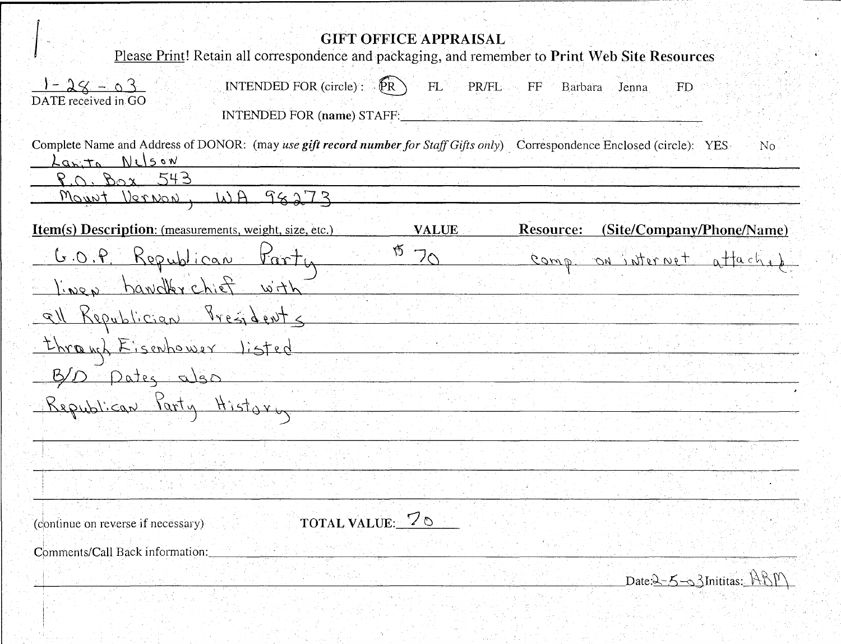| <b>GIFT OFFICE APPRAISAL</b><br>Please Print! Retain all correspondence and packaging, and remember to Print Web Site Resources                     |
|-----------------------------------------------------------------------------------------------------------------------------------------------------|
| $1 - 28 - 03$<br>INTENDED FOR (circle) : $\mathbb{R}$<br>PR/FL FF Barbara<br>FL<br>Jenna<br>FD<br>DATE received in GO<br>INTENDED FOR (name) STAFF: |
| Complete Name and Address of DONOR: (may use gift record number for Staff Gifts only) Correspondence Enclosed (circle): YES<br>No<br>apita Nelson   |
| $P.0.$ Box 543                                                                                                                                      |
| Mount Vernon, WH 98273                                                                                                                              |
| Item(s) Description: (measurements, weight, size, etc.)<br><b>Resource:</b><br>(Site/Company/Phone/Name)<br><b>VALUE</b>                            |
| GO.P. Republican Farty<br>70<br>comp on atternet attach.                                                                                            |
| lines handlerchief with                                                                                                                             |
| all Republician Presidents                                                                                                                          |
| through Eisenhower listed                                                                                                                           |
| B/D pates also                                                                                                                                      |
| Republican Party History                                                                                                                            |
|                                                                                                                                                     |
|                                                                                                                                                     |
|                                                                                                                                                     |
| TOTAL VALUE: 70<br>(continue on reverse if necessary)                                                                                               |
| Comments/Call Back information:                                                                                                                     |
| Date:2-5-3 Inititas: ABM                                                                                                                            |

√.

el egy harr

有些的 网络阿尔斯特尔

tari<br>Mu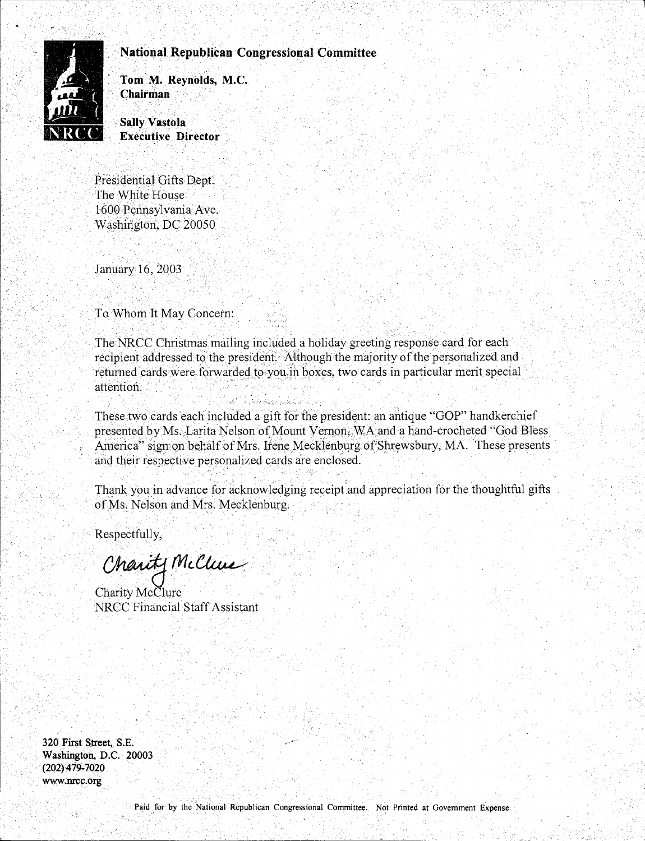#### **National Republican Congressional Committee**



**Tom· M. Reynolds, M.C. Chairman** 

**Sally Vastola Executive Director** .

Presidential Gifts Dept. The White House 1600 Pennsylvania Ave. Washington, DC 20050.

 $\cdot$  .

January 16, 2003

To Whom It May Concern:

The NRCC Christmas mailing included a holiday greeting response card for each. recipient addressed to the president. Although the majority of the personalized and returned cards were forwarded to you.in boxes, two cards in particular merit special attention.

These two cards each included a gift for the president: an antique "GOP" handkerchief presented by Ms. Larita Nelson of Mount Vernon, WA and a hand-crocheted "God Bless" America" sign on-behalf of Mrs. Irene Mecklenburg of Shrewsbury, MA. These presents and their respective personalized cards are enclosed.

Thank you in advance for acknowledging receipt and appreciation for the thoughtful gifts of Ms. Nelson and Mrs. Mecklenburg.

Respectfully,

Charity McClure

. .

Charity McClure NRCC Financial Sfaff Assistant

**320 First Street, S.E. Washington; D.C. 20003 (202)** 419~ **7020 www ;nrcc.org**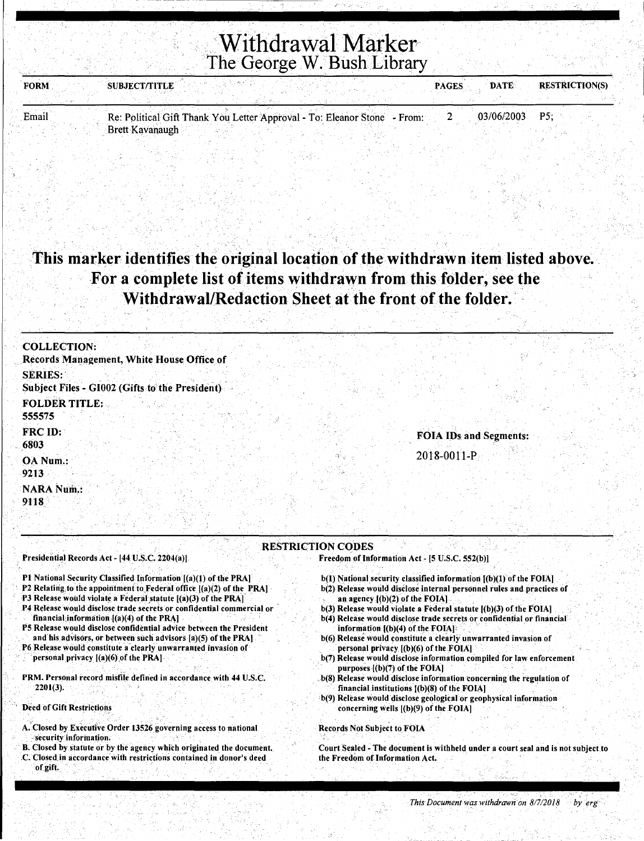## Withdrawal Marker~ The George W. Bush Library

| FORM  | <b>SUBJECT/TITLE</b>                                                     |  | <b>PAGES</b> | <b>DATE</b> | <b>RESTRICTION(S)</b> |  |
|-------|--------------------------------------------------------------------------|--|--------------|-------------|-----------------------|--|
|       |                                                                          |  |              |             |                       |  |
| Email | Re: Political Gift Thank You Letter Approval - To: Eleanor Stone - From: |  |              | 03/06/2003  | - P5                  |  |

### This marker identifies the original location of the withdrawn item listed above. For a complete list of items withdrawn from this folder, see the Withdrawal/Redaction Sheet at the front of the folder.

" .. ·, "'. . '

| <b>COLLECTION:</b>                             |                               |
|------------------------------------------------|-------------------------------|
| Records Management, White House Office of      |                               |
| <b>SERIES:</b>                                 |                               |
| Subject Files - GI002 (Gifts to the President) |                               |
| <b>FOLDER TITLE:</b>                           |                               |
| 555575                                         |                               |
| FRC ID:                                        | <b>FOIA IDs and Segments:</b> |
| 6803                                           |                               |
| OA Num.:                                       | 2018-0011-P                   |
| $-9213$ .                                      |                               |
| <b>NARA Num.:</b>                              |                               |
| 9118                                           |                               |
|                                                |                               |

#### RESTRICTION CODES

#### Presidential Records Act - [44 U.S.C. 2204(a)]

P1 National Security Classified Information [(a)(1) of the PRA]

Brett Kavanaugh

- P2 Relating to the appointment to Federal office  $[(a)(2)$  of the PRA]
- P3 Release would violate a Federal statute  $[(a)(3)$  of the PRA $]$
- .P4 Release would disclose trade secrets or confidential commercial or · financial information  $[(a)(4)$  of the PRA]
- PS Release would disclose confidential advice between the President
- and his advisors, or between such advisors  $[a](5)$  of the PRA] P6 Release would constitute a'clearly unwarranted invasion of
- personal privacy  $[(a)(6)]$  of the PRA].
- PRM. Personal record misfile defined in accordance with 44 U.S.C. 2201(3).

; ' . " '

Deed of Gift Restrictions

- A. Closed by Executive Order 13526 governing access to national security information.
- B. Closed by statute or by the agency which originated the document. . C. Closed.in accordance.with restrictions contained in donor's deed of gift.

Freedom of Information Act - [5 U.S.C. 552(b)]

- b(l) National security classified information [(b)(l) of the FOIA) b(2) Release would disclose internal personnel rules and practices of an agency  $[(b)(2)$  of the FOIA.
- b(3) Release would violate a Federal statute [(b)(3) of the FOIA)
- b(4) Release would disclose trade secrets or confidential or financial information [(b)(4) of the FOIA]
- b(6) Release would constitute a clearly unwarranted invasion of personal privacy  $[(b)(6)$  of the  $FOIA]$
- b(7) Release would disclose information compiled for law enforcement purposes [(b)(7) of the FOIA]
- . b(S) Release would disclose information concerning the regulation of financial institutions  $[(b)(8)$  of the FOIA]
- •b(9) Release would disclose geologicalor geophysical information concerning wells  $[(b)(9)$  of the FOIA]

Records Not Subject to FOIA

Court Sealed - The document is withheld under a court seal and is not subject.to the Freedom of Information Act.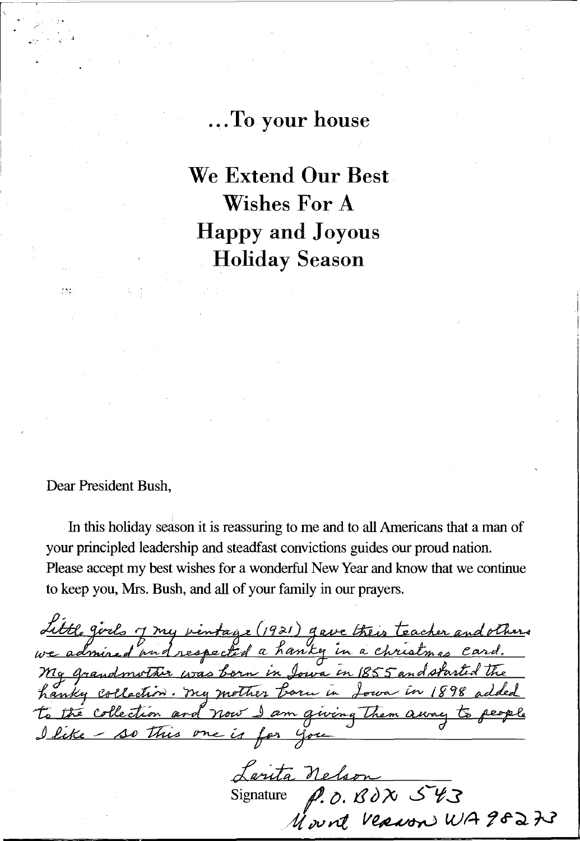#### ... **To your house**

**We Extend Our Best Wishes For A Happy and Joyous Holiday Season** 

Dear President Bush,

 $125$ 

In this holiday season it is reassuring to me and to all Americans that a man of your principled leadership and steadfast convictions guides our proud nation. Please accept my best wishes for a wonderful New Year and know that we continue to keep you, Mrs. Bush, and all of your family in our prayers.

Little girls 7 my vintage (1921) gave their teacher and others<br>we admired and respected a hanky in a christmas card.<br>My grandmother was born in Jowa in 1855 and started the<br>hanky collection. My mother born in Jowa in 1898 to the collection and now I am giving them away to people I like - so this one is for you

Signature *ID.* fl d?v *..S ..... 't.S*   $M$  ount **Verwon** WA 98273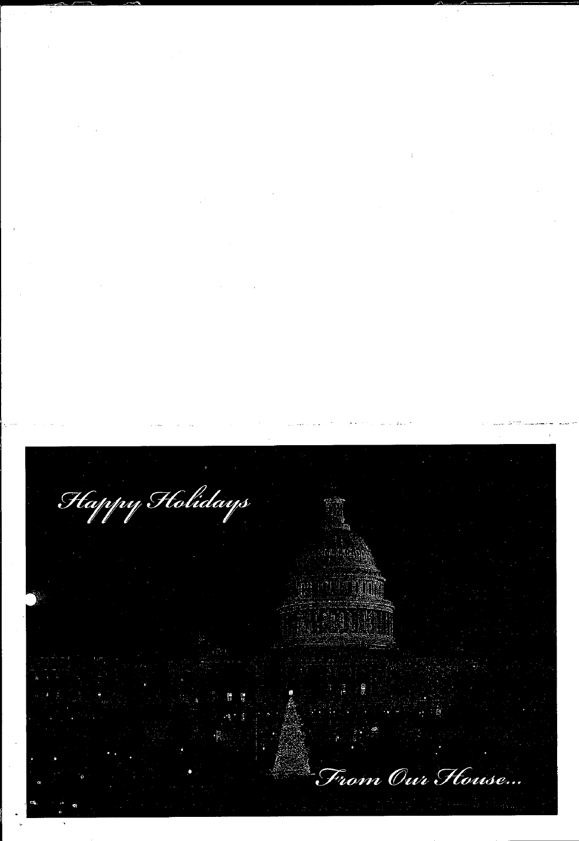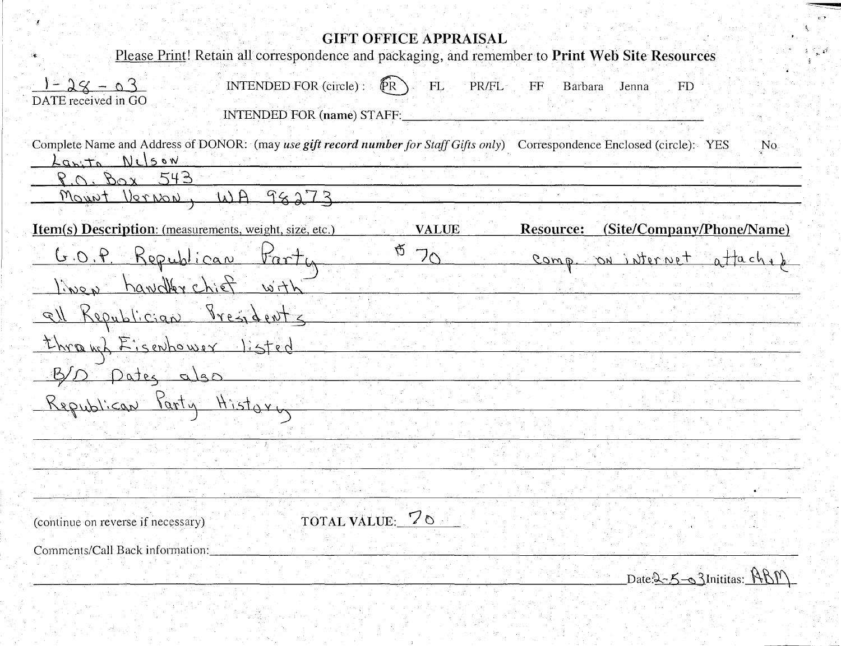| <b>GIFT OFFICE APPRAISAL</b><br>Please Print! Retain all correspondence and packaging, and remember to Print Web Site Resources                                      |
|----------------------------------------------------------------------------------------------------------------------------------------------------------------------|
|                                                                                                                                                                      |
| $1 - 28 - 03$<br>INTENDED FOR $(circle)$ : $\bigl(\bigl(\mathop{PR}\nolimits)\bigr)$<br>PR/FL<br>FL<br>$\mathbf{F}$<br>Barbara<br>Jenna<br>FD<br>DATE received in GO |
| INTENDED FOR (name) STAFF:                                                                                                                                           |
| Complete Name and Address of DONOR: (may use gift record number for Staff Gifts only) Correspondence Enclosed (circle): YES<br>N <sub>0</sub>                        |
| Laxita Nilson<br>543<br>$P \cap B_{\Omega} x$                                                                                                                        |
| Mount Vernon, WA 98273                                                                                                                                               |
| (Site/Company/Phone/Name)<br><b>Item(s) Description:</b> (measurements, weight, size, etc.)<br><b>VALUE</b><br>Resource:                                             |
| G<br>G.O.P. Republican Farty<br>フヘ<br>comp. on internet attached                                                                                                     |
| lines handler chief with                                                                                                                                             |
| all Republician Presidents                                                                                                                                           |
| through Eisenhower listed                                                                                                                                            |
| B/D pates also                                                                                                                                                       |
| Republican Party History                                                                                                                                             |
|                                                                                                                                                                      |
|                                                                                                                                                                      |
|                                                                                                                                                                      |
| TOTAL VALUE: 70<br>(continue on reverse if necessary).                                                                                                               |
| Comments/Call Back information:                                                                                                                                      |

 ${\rm Date:}$   $\le$   $\le$   $\sim$   $\le$   $\lambda$  Inititas:  $\mathcal{R}\mathcal{B}\mathcal{V}\setminus\mathcal{S}$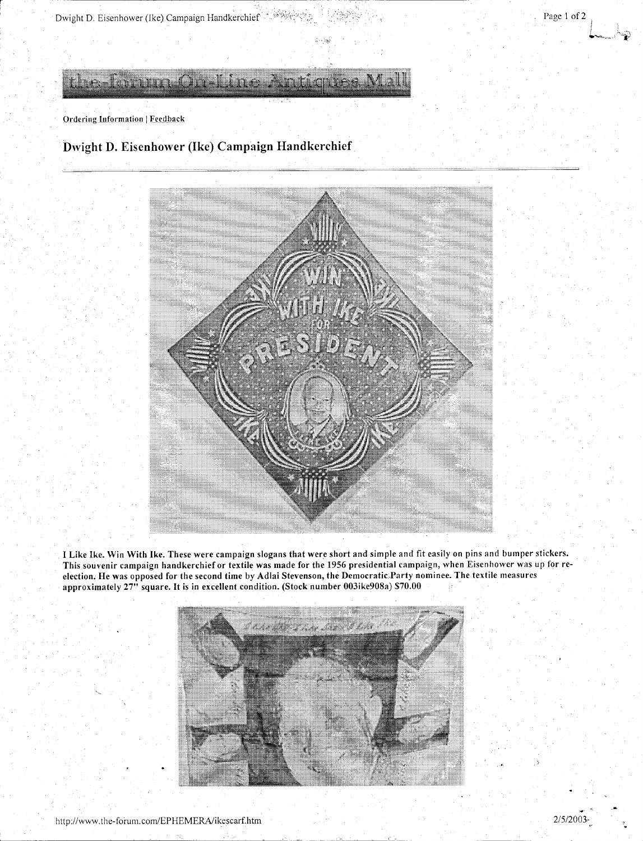

**Dwight D. Eisenhower (Ike) Campaign Handkerchief** 



I Like Ike. Win With Ike. These were campaign slogans that were short and simple and fit easily on pins and bumper stickers. This souvenir campaign handkerchief or textile was made for the 1956 presidential campaign, when Eisenhower was up for reelection. He was opposed for the second time by Adlai Stevenson, the Democratic.Party nominee. The textile measures approximately 27" square. It is in excellent condition. (Stock number 003ike908a) \$70.00